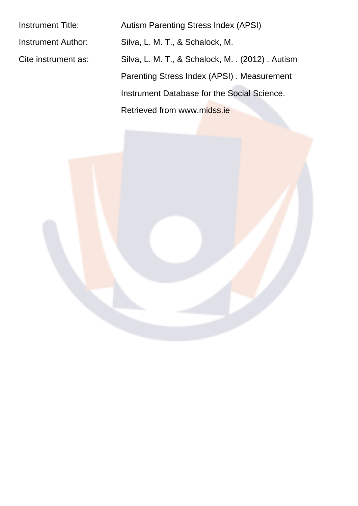Instrument Title: Autism Parenting Stress Index (APSI) Instrument Author: Silva, L. M. T., & Schalock, M. Cite instrument as: Silva, L. M. T., & Schalock, M. . (2012). Autism Parenting Stress Index (APSI) . Measurement Instrument Database for the Social Science. Retrieved from www.midss.ie